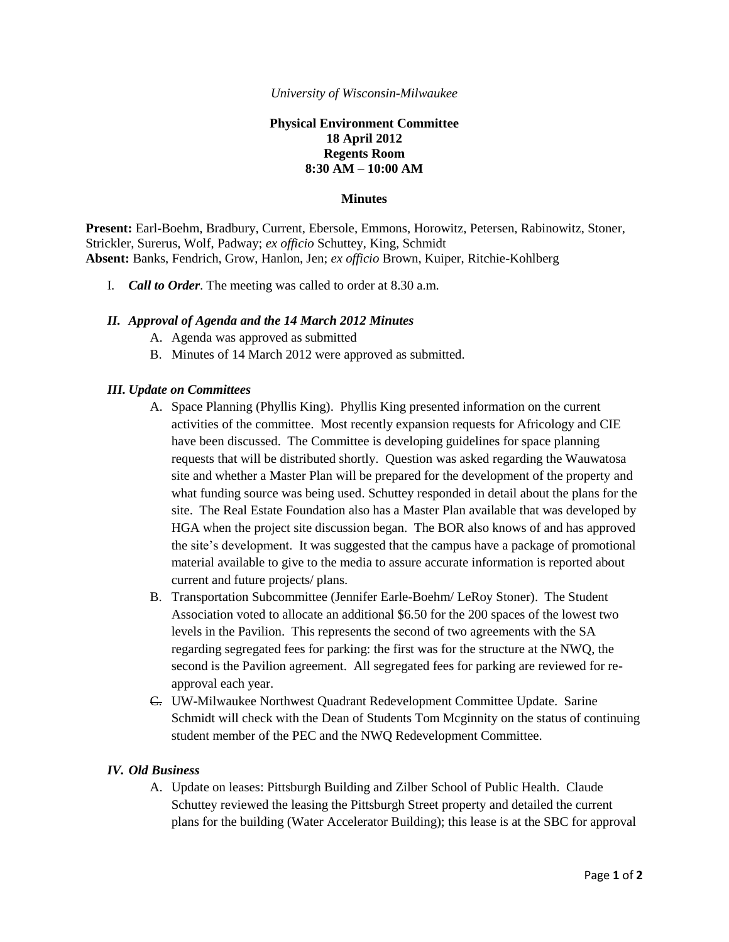#### *University of Wisconsin-Milwaukee*

## **Physical Environment Committee 18 April 2012 Regents Room 8:30 AM – 10:00 AM**

#### **Minutes**

**Present:** Earl-Boehm, Bradbury, Current, Ebersole, Emmons, Horowitz, Petersen, Rabinowitz, Stoner, Strickler, Surerus, Wolf, Padway; *ex officio* Schuttey, King, Schmidt **Absent:** Banks, Fendrich, Grow, Hanlon, Jen; *ex officio* Brown, Kuiper, Ritchie-Kohlberg

I. *Call to Order*. The meeting was called to order at 8.30 a.m.

### *II. Approval of Agenda and the 14 March 2012 Minutes*

- A. Agenda was approved as submitted
- B. Minutes of 14 March 2012 were approved as submitted.

### *III. Update on Committees*

- A. Space Planning (Phyllis King). Phyllis King presented information on the current activities of the committee. Most recently expansion requests for Africology and CIE have been discussed. The Committee is developing guidelines for space planning requests that will be distributed shortly. Question was asked regarding the Wauwatosa site and whether a Master Plan will be prepared for the development of the property and what funding source was being used. Schuttey responded in detail about the plans for the site. The Real Estate Foundation also has a Master Plan available that was developed by HGA when the project site discussion began. The BOR also knows of and has approved the site's development. It was suggested that the campus have a package of promotional material available to give to the media to assure accurate information is reported about current and future projects/ plans.
- B. Transportation Subcommittee (Jennifer Earle-Boehm/ LeRoy Stoner). The Student Association voted to allocate an additional \$6.50 for the 200 spaces of the lowest two levels in the Pavilion. This represents the second of two agreements with the SA regarding segregated fees for parking: the first was for the structure at the NWQ, the second is the Pavilion agreement. All segregated fees for parking are reviewed for reapproval each year.
- C. UW-Milwaukee Northwest Quadrant Redevelopment Committee Update. Sarine Schmidt will check with the Dean of Students Tom Mcginnity on the status of continuing student member of the PEC and the NWQ Redevelopment Committee.

### *IV. Old Business*

A. Update on leases: Pittsburgh Building and Zilber School of Public Health. Claude Schuttey reviewed the leasing the Pittsburgh Street property and detailed the current plans for the building (Water Accelerator Building); this lease is at the SBC for approval